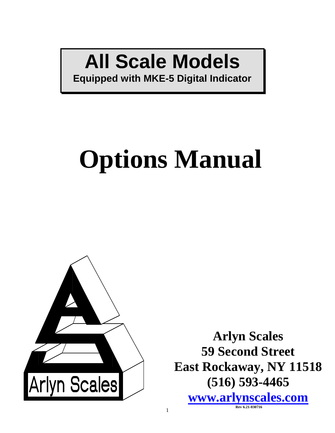# **All Scale Models**

**Equipped with MKE-5 Digital Indicator**

# **Options Manual**



**Arlyn Scales 59 Second Street East Rockaway, NY 11518 (516) 593-4465 [www.arlynscales.com](http://www.arlynscales.com/) Rev 6.21-030716**

1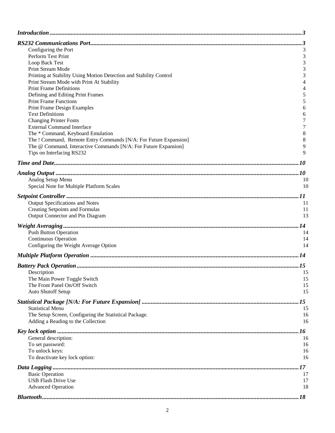| Configuring the Port                                                                    | 3        |
|-----------------------------------------------------------------------------------------|----------|
| Perform Test Print                                                                      | 3        |
| Loop Back Test                                                                          | 3        |
| Print Stream Mode<br>Printing at Stability Using Motion Detection and Stability Control | 3<br>3   |
| Print Stream Mode with Print At Stability                                               | 4        |
| <b>Print Frame Definitions</b>                                                          | 4        |
| Defining and Editing Print Frames                                                       | 5        |
| <b>Print Frame Functions</b>                                                            | 5        |
| <b>Print Frame Design Examples</b>                                                      | 6        |
| <b>Text Definitions</b>                                                                 | 6        |
| <b>Changing Printer Fonts</b><br><b>External Command Interface</b>                      | 7<br>7   |
| The * Command, Keyboard Emulation                                                       | 8        |
| The ! Command, Remote Entry Commands [N/A: For Future Expansion]                        | 8        |
| The @ Command, Interactive Commands [N/A: For Future Expansion]                         | 9        |
| Tips on Interfacing RS232                                                               | 9        |
|                                                                                         |          |
|                                                                                         |          |
| Analog Setup Menu                                                                       | 10       |
| Special Note for Multiple Platform Scales                                               | 10       |
|                                                                                         |          |
|                                                                                         |          |
| Output Specifications and Notes<br><b>Creating Setpoints and Formulas</b>               | 11<br>11 |
| Output Connector and Pin Diagram                                                        | 13       |
|                                                                                         |          |
|                                                                                         | .14      |
| <b>Push Button Operation</b><br><b>Continuous Operation</b>                             | 14<br>14 |
| Configuring the Weight Average Option                                                   | 14       |
|                                                                                         |          |
|                                                                                         |          |
|                                                                                         |          |
| Description                                                                             | 15       |
| The Main Power Toggle Switch<br>The Front Panel On/Off Switch                           | 15       |
| Auto Shutoff Setup                                                                      | 15<br>15 |
|                                                                                         |          |
|                                                                                         |          |
| <b>Statistical Menu</b><br>The Setup Screen, Configuring the Statistical Package.       | 15<br>16 |
| Adding a Reading to the Collection                                                      | 16       |
|                                                                                         |          |
|                                                                                         |          |
| General description:<br>To set password:                                                | 16<br>16 |
| To unlock keys:                                                                         | 16       |
| To deactivate key lock option:                                                          | 16       |
|                                                                                         | . 17     |
| <b>Basic Operation</b>                                                                  | 17       |
| <b>USB Flash Drive Use</b>                                                              | 17       |
| <b>Advanced Operation</b>                                                               | 18       |
|                                                                                         | .18      |
|                                                                                         |          |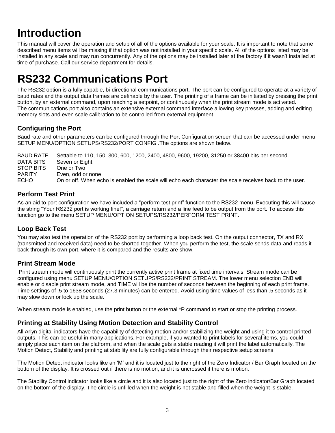## <span id="page-2-0"></span>**Introduction**

This manual will cover the operation and setup of all of the options available for your scale. It is important to note that some described menu items will be missing if that option was not installed in your specific scale. All of the options listed may be installed in any scale and may run concurrently. Any of the options may be installed later at the factory if it wasn't installed at time of purchase. Call our service department for details.

## <span id="page-2-1"></span>**RS232 Communications Port**

The RS232 option is a fully capable, bi-directional communications port. The port can be configured to operate at a variety of baud rates and the output data frames are definable by the user. The printing of a frame can be initiated by pressing the print button, by an external command, upon reaching a setpoint, or continuously when the print stream mode is activated. The communications port also contains an extensive external command interface allowing key presses, adding and editing memory slots and even scale calibration to be controlled from external equipment.

#### <span id="page-2-2"></span>**Configuring the Port**

Baud rate and other parameters can be configured through the Port Configuration screen that can be accessed under menu SETUP MENU/OPTION SETUPS/RS232/PORT CONFIG .The options are shown below.

BAUD RATE Settable to 110, 150, 300, 600, 1200, 2400, 4800, 9600, 19200, 31250 or 38400 bits per second. DATA BITS Seven or Eight STOP BITS One or Two PARITY Even, odd or none ECHO On or off. When echo is enabled the scale will echo each character the scale receives back to the user.

#### <span id="page-2-3"></span>**Perform Test Print**

As an aid to port configuration we have included a "perform test print" function to the RS232 menu. Executing this will cause the string "Your RS232 port is working fine!", a carriage return and a line feed to be output from the port. To access this function go to the menu SETUP MENU/OPTION SETUPS/RS232/PERFORM TEST PRINT.

#### <span id="page-2-4"></span>**Loop Back Test**

You may also test the operation of the RS232 port by performing a loop back test. On the output connector, TX and RX (transmitted and received data) need to be shorted together. When you perform the test, the scale sends data and reads it back through its own port, where it is compared and the results are show.

#### <span id="page-2-5"></span>**Print Stream Mode**

Print stream mode will continuously print the currently active print frame at fixed time intervals. Stream mode can be configured using menu SETUP MENU/OPTION SETUPS/RS232/PRINT STREAM. The lower menu selection ENB will enable or disable print stream mode, and TIME will be the number of seconds between the beginning of each print frame. Time settings of .5 to 1638 seconds (27.3 minutes) can be entered. Avoid using time values of less than .5 seconds as it may slow down or lock up the scale.

<span id="page-2-6"></span>When stream mode is enabled, use the print button or the external \*P command to start or stop the printing process.

#### **Printing at Stability Using Motion Detection and Stability Control**

All Arlyn digital indicators have the capability of detecting motion and/or stabilizing the weight and using it to control printed outputs. This can be useful in many applications. For example, if you wanted to print labels for several items, you could simply place each item on the platform, and when the scale gets a stable reading it will print the label automatically. The Motion Detect, Stability and printing at stability are fully configurable through their respective setup screens.

The Motion Detect indicator looks like an 'M' and it is located just to the right of the Zero Indicator / Bar Graph located on the bottom of the display. It is crossed out if there is no motion, and it is uncrossed if there is motion.

The Stability Control indicator looks like a circle and it is also located just to the right of the Zero indicator/Bar Graph located on the bottom of the display. The circle is unfilled when the weight is not stable and filled when the weight is stable.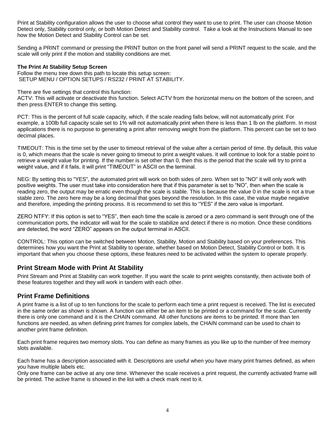Print at Stability configuration allows the user to choose what control they want to use to print. The user can choose Motion Detect only, Stability control only, or both Motion Detect and Stability control. Take a look at the Instructions Manual to see how the Motion Detect and Stability Control can be set.

Sending a PRINT command or pressing the PRINT button on the front panel will send a PRINT request to the scale, and the scale will only print if the motion and stability conditions are met.

#### **The Print At Stability Setup Screen**

Follow the menu tree down this path to locate this setup screen: SETUP MENU / OPTION SETUPS / RS232 / PRINT AT STABILITY.

There are five settings that control this function:

ACTV: This will activate or deactivate this function. Select ACTV from the horizontal menu on the bottom of the screen, and then press ENTER to change this setting.

PCT: This is the percent of full scale capacity, which, if the scale reading falls below, will not automatically print. For example, a 100lb full capacity scale set to 1% will not automatically print when there is less than 1 lb on the platform. In most applications there is no purpose to generating a print after removing weight from the platform. This percent can be set to two decimal places.

TIMEOUT: This is the time set by the user to timeout retrieval of the value after a certain period of time. By default, this value is 0, which means that the scale is never going to timeout to print a weight values. It will continue to look for a stable point to retrieve a weight value for printing. If the number is set other than 0, then this is the period that the scale will try to print a weight value, and if it fails, it will print "TIMEOUT" in ASCII on the terminal.

NEG: By setting this to "YES", the automated print will work on both sides of zero. When set to "NO" it will only work with positive weights. The user must take into consideration here that if this parameter is set to "NO", then when the scale is reading zero, the output may be erratic even though the scale is stable. This is because the value 0 in the scale is not a true stable zero. The zero here may be a long decimal that goes beyond the resolution. In this case, the value maybe negative and therefore, impeding the printing process. It is recommend to set this to "YES" if the zero value is important.

ZERO NTFY: If this option is set to "YES", then each time the scale is zeroed or a zero command is sent through one of the communication ports, the indicator will wait for the scale to stabilize and detect if there is no motion. Once these conditions are detected, the word "ZERO" appears on the output terminal in ASCII.

CONTROL: This option can be switched between Motion, Stability, Motion and Stability based on your preferences. This determines how you want the Print at Stability to operate, whether based on Motion Detect, Stability Control or both. It is important that when you choose these options, these features need to be activated within the system to operate properly.

#### <span id="page-3-0"></span>**Print Stream Mode with Print At Stability**

Print Stream and Print at Stability can work together. If you want the scale to print weights constantly, then activate both of these features together and they will work in tandem with each other.

#### <span id="page-3-1"></span>**Print Frame Definitions**

A print frame is a list of up to ten functions for the scale to perform each time a print request is received. The list is executed in the same order as shown is shown. A function can either be an item to be printed or a command for the scale. Currently there is only one command and it is the CHAIN command. All other functions are items to be printed. If more than ten functions are needed, as when defining print frames for complex labels, the CHAIN command can be used to chain to another print frame definition.

Each print frame requires two memory slots. You can define as many frames as you like up to the number of free memory slots available.

Each frame has a description associated with it. Descriptions are useful when you have many print frames defined, as when you have multiple labels etc.

<span id="page-3-2"></span>Only one frame can be active at any one time. Whenever the scale receives a print request, the currently activated frame will be printed. The active frame is showed in the list with a check mark next to it.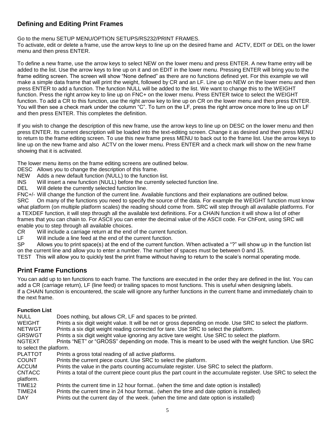#### **Defining and Editing Print Frames**

Go to the menu SETUP MENU/OPTION SETUPS/RS232/PRINT FRAMES.

To activate, edit or delete a frame, use the arrow keys to line up on the desired frame and ACTV, EDIT or DEL on the lower menu and then press ENTER.

To define a new frame, use the arrow keys to select NEW on the lower menu and press ENTER. A new frame entry will be added to the list. Use the arrow keys to line up on it and on EDIT in the lower menu. Pressing ENTER will bring you to the frame editing screen. The screen will show "None defined" as there are no functions defined yet. For this example we will make a simple data frame that will print the weight, followed by CR and an LF. Line up on NEW on the lower menu and then press ENTER to add a function. The function NULL will be added to the list. We want to change this to the WEIGHT function. Press the right arrow key to line up on FNC+ on the lower menu. Press ENTER twice to select the WEIGHT function. To add a CR to this function, use the right arrow key to line up on CR on the lower menu and then press ENTER. You will then see a check mark under the column "C". To turn on the LF, press the right arrow once more to line up on LF and then press ENTER. This completes the definition.

If you wish to change the description of this new frame, use the arrow keys to line up on DESC on the lower menu and then press ENTER. Its current description will be loaded into the text-editing screen. Change it as desired and then press MENU to return to the frame editing screen. To use this new frame press MENU to back out to the frame list. Use the arrow keys to line up on the new frame and also ACTV on the lower menu. Press ENTER and a check mark will show on the new frame showing that it is activated.

The lower menu items on the frame editing screens are outlined below.

- DESC Allows you to change the description of this frame.
- NEW Adds a new default function (NULL) to the function list.
- INS Will insert a new function (NULL) before the currently selected function line.
- DEL Will delete the currently selected function line.

FNC+/- Will change the function of the current line. Available functions and their explanations are outlined below.

SRC On many of the functions you need to specify the source of the data. For example the WEIGHT function must know what platform (on multiple platform scales) the reading should come from. SRC will step through all available platforms. For a TEXDEF function, it will step through all the available text definitions. For a CHAIN function it will show a list of other frames that you can chain to. For ASCII you can enter the decimal value of the ASCII code. For ChFont, using SRC will enable you to step through all available choices.

CR Will include a carriage return at the end of the current function.

LF Will include a line feed at the end of the current function.

SP Allows you to print space(s) at the end of the current function. When activated a "?" will show up in the function list on the current line and allow you to enter a number. The number of spaces must be between 0 and 15.

<span id="page-4-0"></span>TEST This will allow you to quickly test the print frame without having to return to the scale's normal operating mode.

#### **Print Frame Functions**

You can add up to ten functions to each frame. The functions are executed in the order they are defined in the list. You can add a CR (carriage return), LF (line feed) or trailing spaces to most functions. This is useful when designing labels. If a CHAIN function is encountered, the scale will ignore any further functions in the current frame and immediately chain to the next frame.

#### **Function List**

| <b>NULL</b><br>WEIGHT   | Does nothing, but allows CR, LF and spaces to be printed.<br>Prints a six digit weight value. It will be net or gross depending on mode. Use SRC to select the platform. |
|-------------------------|--------------------------------------------------------------------------------------------------------------------------------------------------------------------------|
| <b>NETWGT</b>           | Prints a six digit weight reading corrected for tare. Use SRC to select the platform.                                                                                    |
| GRSWGT                  | Prints a six digit weight value ignoring any active tare weight. Use SRC to select the platform.                                                                         |
| <b>NGTEXT</b>           | Prints "NET" or "GROSS" depending on mode. This is meant to be used with the weight function. Use SRC                                                                    |
| to select the platform. |                                                                                                                                                                          |
| <b>PLATTOT</b>          | Prints a gross total reading of all active platforms.                                                                                                                    |
| <b>COUNT</b>            | Prints the current piece count. Use SRC to select the platform.                                                                                                          |
| <b>ACCUM</b>            | Prints the value in the parts counting accumulate register. Use SRC to select the platform.                                                                              |
| <b>CNTACC</b>           | Prints a total of the current piece count plus the part count in the accumulate register. Use SRC to select the                                                          |
| platform.               |                                                                                                                                                                          |
| TIME <sub>12</sub>      | Prints the current time in 12 hour format (when the time and date option is installed)                                                                                   |
| TIME24                  | Prints the current time in 24 hour format (when the time and date option is installed)                                                                                   |
| DAY                     | Prints out the current day of the week. (when the time and date option is installed)                                                                                     |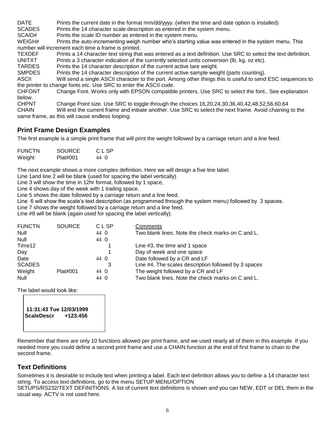DATE Prints the current date in the format mm/dd/yyyy. (when the time and date option is installed) SCADES Prints the 14 character scale description as entered in the system menu. SCAID# Prints the scale ID number as entered in the system menu. WEIGH# Prints the auto-incrementing weigh number who's starting value was entered in the system menu. This number will increment each time a frame is printed. TEXDEF Prints a 14 character text string that was entered as a text definition. Use SRC to select the text definition. UNITXT Prints a 3 character indication of the currently selected units conversion (lb, kg, oz etc). TARDES Prints the 14 character description of the current active tare weight. SMPDES Prints the 14 character description of the current active sample weight (parts counting). ASCII Will send a single ASCII character to the port. Among other things this is useful to send ESC sequences to the printer to change fonts etc. Use SRC to enter the ASCII code. CHFONT Change Font. Works only with EPSON compatible printers. Use SRC to select the font.. See explanation below. CHPNT Change Point size. Use SRC to toggle through the choices 16,20,24,30,36,40,42,48,52,56,60,64 CHAIN Will end the current frame and initiate another. Use SRC to select the next frame. Avoid chaining to the same frame, as this will cause endless looping.

#### <span id="page-5-0"></span>**Print Frame Design Examples**

The first example is a simple print frame that will print the weight followed by a carriage return and a line feed.

| <b>FUNCTN</b> | <b>SOURCE</b> | CLSP |
|---------------|---------------|------|
| Weight        | Plat#001      | 44 O |

The next example shows a more complex definition. Here we will design a five line label.

Line 1and line 2 will be blank (used for spacing the label vertically).

Line 3 will show the time in 12hr format, followed by 1 space,

Line 4 shows day of the week with 1 trailing space.

Line 5 shows the date followed by a carriage return and a line feed.

Line 6 will show the scale's text description (as programmed through the system menu) followed by 3 spaces.

Line 7 shows the weight followed by a carriage return and a line feed.

Line #8 will be blank (again used for spacing the label vertically).

| <b>FUNCTN</b> | <b>SOURCE</b> | <b>CLSP</b> | Comments                                             |
|---------------|---------------|-------------|------------------------------------------------------|
| Null          |               | 44 0        | Two blank lines. Note the check marks on C and L.    |
| <b>Null</b>   |               | 44 0        |                                                      |
| Time12        |               |             | Line #3, the time and 1 space                        |
| Day           |               |             | Day of week and one space                            |
| Date          |               | 44 0        | Date followed by a CR and LF                         |
| <b>SCADES</b> |               | 3           | Line #4, The scales description followed by 3 spaces |
| Weight        | Plat#001      | 44 0        | The weight followed by a CR and LF                   |
| Null          |               | 44 0        | Two blank lines. Note the check marks on C and L.    |

The label would look like:

 **11:31:43 Tue 12/03/1999 ScaleDescr +123.456** 

Remember that there are only 10 functions allowed per print frame, and we used nearly all of them in this example. If you needed more you could define a second print frame and use a CHAIN function at the end of first frame to chain to the second frame.

#### <span id="page-5-1"></span>**Text Definitions**

Sometimes it is desirable to include text when printing a label. Each text definition allows you to define a 14 character text string. To access text definitions, go to the menu SETUP MENU/OPTION

SETUPS/RS232/TEXT DEFINITIONS. A list of current text definitions is shown and you can NEW, EDT or DEL them in the usual way. ACTV is not used here.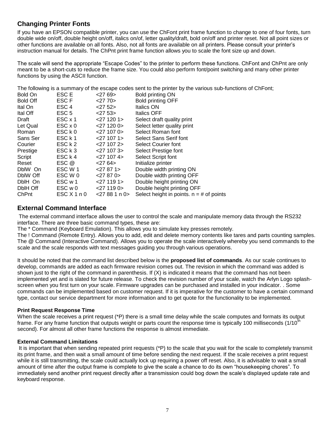#### <span id="page-6-0"></span>**Changing Printer Fonts**

If you have an EPSON compatible printer, you can use the ChFont print frame function to change to one of four fonts, turn double wide on/off, double height on/off, italics on/of, letter quality/draft, bold on/off and printer reset. Not all point sizes or other functions are available on all fonts. Also, not all fonts are available on all printers. Please consult your printer's instruction manual for details. The ChPnt print frame function allows you to scale the font size up and down.

The scale will send the appropriate "Escape Codes" to the printer to perform these functions. ChFont and ChPnt are only meant to be a short-cuts to reduce the frame size. You could also perform font/point switching and many other printer functions by using the ASCII function.

The following is a summary of the escape codes sent to the printer by the various sub-functions of ChFont;

| Bold On         | ESC E                   | $<$ 27 69 $>$    | Bold printing ON                           |
|-----------------|-------------------------|------------------|--------------------------------------------|
| <b>Bold Off</b> | ESC F                   | $<$ 27 70 $>$    | Bold printing OFF                          |
| Ital On         | ESC <sub>4</sub>        | $<$ 27 52 $>$    | Italics ON                                 |
| Ital Off        | ESC <sub>5</sub>        | 2753             | <b>Italics OFF</b>                         |
| Draft           | $ESC \times 1$          | $<$ 27 120 1>    | Select draft quality print                 |
| Let Qual        | $\textsf{ESC} \times 0$ | $<$ 27 120 0 $>$ | Select letter quality print                |
| Roman           | ESC k 0                 | $<$ 27 107 0 $>$ | Select Roman font                          |
| Sans Ser        | ESC k 1                 | $<$ 27 107 1 $>$ | Select Sans Serif font                     |
| Courier         | ESC k 2                 | $<$ 27 107 2 $>$ | Select Courier font                        |
| Prestige        | ESC k 3                 | $<$ 27 107 3 $>$ | Select Prestige font                       |
| Script          | ESC k 4                 | $<$ 27 107 4 $>$ | Select Script font                         |
| Reset           | ESC @                   | $<$ 27 64 $>$    | Initialize printer                         |
| DblW On         | ESC W 1                 | $<$ 27 87 1 $>$  | Double width printing ON                   |
| DblW Off        | ESC W 0                 | $<$ 27 87 0 $>$  | Double width printing OFF                  |
| DblH On         | ESC w 1                 | $<$ 27 119 1 $>$ | Double height printing ON                  |
| DblH Off        | ESC w 0                 | $<$ 27 119 0 $>$ | Double height printing OFF                 |
| ChPnt           | ESC X 1 n 0             | 27881n0          | Select height in points. $n = #$ of points |

#### <span id="page-6-1"></span>**External Command Interface**

The external command interface allows the user to control the scale and manipulate memory data through the RS232 interface. There are three basic command types, these are:

The \* Command (Keyboard Emulation). This allows you to simulate key presses remotely.

The ! Command (Remote Entry). Allows you to add, edit and delete memory contents like tares and parts counting samples. The @ Command (Interactive Command). Allows you to operate the scale interactively whereby you send commands to the scale and the scale responds with text messages guiding you through various operations.

It should be noted that the command list described below is the **proposed list of commands**. As our scale continues to develop, commands are added as each firmware revision comes out. The revision in which the command was added is shown just to the right of the command in parenthesis. If (X) is indicated it means that the command has not been implemented yet and is slated for future release. To check the revision number of your scale, watch the Arlyn Logo splashscreen when you first turn on your scale. Firmware upgrades can be purchased and installed in your indicator. . Some commands can be implemented based on customer request. If it is imperative for the customer to have a certain command type, contact our service department for more information and to get quote for the functionality to be implemented.

#### **Print Request Response Time**

When the scale receives a print request (\*P) there is a small time delay while the scale computes and formats its output frame. For any frame function that outputs weight or parts count the response time is typically 100 milliseconds  $(1/10<sup>th</sup>)$ second). For almost all other frame functions the response is almost immediate.

#### **External Command Limitations**

It is important that when sending repeated print requests (\*P) to the scale that you wait for the scale to completely transmit its print frame, and then wait a small amount of time before sending the next request. If the scale receives a print request while it is still transmitting, the scale could actually lock up requiring a power off reset. Also, it is advisable to wait a small amount of time after the output frame is complete to give the scale a chance to do its own "housekeeping chores". To immediately send another print request directly after a transmission could bog down the scale's displayed update rate and keyboard response.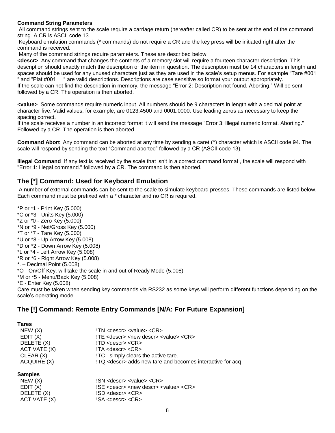#### **Command String Parameters**

All command strings sent to the scale require a carriage return (hereafter called CR) to be sent at the end of the command string. A CR is ASCII code 13.

Keyboard emulation commands (\* commands) do not require a CR and the key press will be initiated right after the command is received.

Many of the command strings require parameters. These are described below.

**<descr>** Any command that changes the contents of a memory slot will require a fourteen character description. This description should exactly match the description of the item in question. The description must be 14 characters in length and spaces should be used for any unused characters just as they are used in the scale's setup menus. For example "Tare #001 " and "Plat #001 " are valid descriptions. Descriptions are case sensitive so format your output appropriately. If the scale can not find the description in memory, the message "Error 2: Description not found. Aborting." Will be sent followed by a CR. The operation is then aborted.

**<value>** Some commands require numeric input. All numbers should be 9 characters in length with a decimal point at character five. Valid values, for example, are 0123.4500 and 0001.0000. Use leading zeros as necessary to keep the spacing correct.

If the scale receives a number in an incorrect format it will send the message "Error 3: Illegal numeric format. Aborting." Followed by a CR. The operation is then aborted.

**Command Abort** Any command can be aborted at any time by sending a caret (^) character which is ASCII code 94. The scale will respond by sending the text "Command aborted" followed by a CR (ASCII code 13).

**Illegal Command** If any text is received by the scale that isn't in a correct command format , the scale will respond with "Error 1: Illegal command." followed by a CR. The command is then aborted.

#### <span id="page-7-0"></span>**The [\*] Command: Used for Keyboard Emulation**

A number of external commands can be sent to the scale to simulate keyboard presses. These commands are listed below. Each command must be prefixed with a \* character and no CR is required.

\*P or \*1 - Print Key (5.000) \*C or \*3 - Units Key (5.000) \*Z or \*0 - Zero Key (5.000) \*N or \*9 - Net/Gross Key (5.000) \*T or \*7 - Tare Key (5.000) \*U or \*8 - Up Arrow Key (5.008) \*D or \*2 - Down Arrow Key (5.008) \*L or \*4 - Left Arrow Key (5.008) \*R or \*6 - Right Arrow Key (5.008) \*. – Decimal Point (5.008) \*O - On/Off Key, will take the scale in and out of Ready Mode (5.008) \*M or \*5 - Menu/Back Key (5.008) \*E - Enter Key (5.008) Care must be taken when sending key commands via RS232 as some keys will perform different functions depending on the scale's operating mode.

#### <span id="page-7-1"></span>**The [!] Command: Remote Entry Commands [N/A: For Future Expansion]**

| Tares          |                                                                                                  |
|----------------|--------------------------------------------------------------------------------------------------|
| NEW(X)         | $IN <$ descr> $<$ value> $<$ CR>                                                                 |
| $E$ DIT $(X)$  | $\text{ITE}$ <descr> <new descr=""> <value> &lt;<math>\text{CR}</math>&gt;</value></new></descr> |
| DELETE (X)     | $!$ TD <descr> <cr>!</cr></descr>                                                                |
| ACTIVATE (X)   | $ITA <$ descr> $<$ CR>                                                                           |
| CLEAR (X)      | !TC simply clears the active tare.                                                               |
| ACQUIRE (X)    | !TQ <descr> adds new tare and becomes interactive for acq</descr>                                |
| <b>Samples</b> |                                                                                                  |
| NENI/V         | $\mathsf{ICN}\xspace$ decay subject $\mathsf{CD}\xspace$                                         |

| $ISN <$ descr> $<$ value> $<$ CR>                                  |
|--------------------------------------------------------------------|
| SE <descr> <new descr=""> <value> <cr>!</cr></value></new></descr> |
| $!SD <$ descr> $<$ CR>                                             |
| $ SA \rangle$ <descr> <cr< td=""></cr<></descr>                    |
|                                                                    |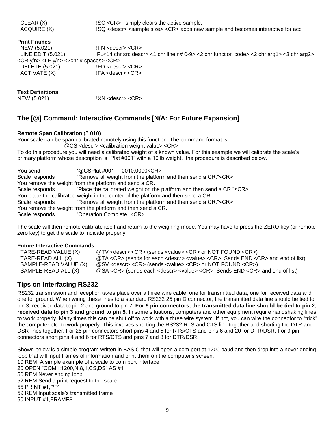$CLEAR(X)$   $ISC < CR>$  simply clears the active sample. ACQUIRE (X) !SQ <descr> <sample size> <CR> adds new sample and becomes interactive for acq

#### **Print Frames**

 NEW (5.021) !FN <descr> <CR> !FL<14 chr src descr> <1 chr line n# 0-9> <2 chr function code> <2 chr arg1> <3 chr arg2> <CR y/n> <LF y/n> <2chr # spaces> <CR> DELETE (5.021) !FD <descr> <CR> ACTIVATE (X) !FA <descr> <CR>

#### **Text Definitions**

NEW (5.021) !XN <descr> <CR>

#### <span id="page-8-0"></span>**The [@] Command: Interactive Commands [N/A: For Future Expansion]**

#### **Remote Span Calibration** (5.010)

Your scale can be span calibrated remotely using this function. The command format is

@CS <descr> <calibration weight value> <CR>

To do this procedure you will need a calibrated weight of a known value. For this example we will calibrate the scale's primary platform whose description is "Plat #001" with a 10 lb weight, the procedure is described below.

You send "@CSPlat #001 0010.0000<CR>" Scale responds "Remove all weight from the platform and then send a CR."<CR> You remove the weight from the platform and send a CR. Scale responds "Place the calibrated weight on the platform and then send a CR."<CR> You place the calibrated weight in the center of the platform and then send a CR. Scale responds "Remove all weight from the platform and then send a CR."<CR> You remove the weight from the platform and then send a CR. Scale responds "Operation Complete."<CR>

The scale will then remote calibrate itself and return to the weighing mode. You may have to press the ZERO key (or remote zero key) to get the scale to indicate properly.

#### **Future Interactive Commands**

TARE-READ VALUE (X)  $@TV$  <descr> <CR> (sends <value> <CR> or NOT FOUND <CR>) TARE-READ ALL (X) @TA <CR> (sends for each <descr> <value> <CR>. Sends END <CR> and end of list) SAMPLE-READ VALUE (X) @SV <descr> <CR> (sends <value> <CR> or NOT FOUND <CR>) SAMPLE-READ ALL (X) @SA <CR> (sends each <descr> <value> <CR>. Sends END <CR> and end of list)

#### <span id="page-8-1"></span>**Tips on Interfacing RS232**

RS232 transmission and reception takes place over a three wire cable, one for transmitted data, one for received data and one for ground. When wiring these lines to a standard RS232 25 pin D connector, the transmitted data line should be tied to pin 3, received data to pin 2 and ground to pin 7. **For 9 pin connectors, the transmitted data line should be tied to pin 2, received data to pin 3 and ground to pin 5**. In some situations, computers and other equipment require handshaking lines to work properly. Many times this can be shut off to work with a three wire system. If not, you can wire the connector to "trick" the computer etc. to work properly. This involves shorting the RS232 RTS and CTS line together and shorting the DTR and DSR lines together. For 25 pin connectors short pins 4 and 5 for RTS/CTS and pins 6 and 20 for DTR/DSR. For 9 pin connectors short pins 4 and 6 for RTS/CTS and pins 7 and 8 for DTR/DSR.

Shown below is a simple program written in BASIC that will open a com port at 1200 baud and then drop into a never ending loop that will input frames of information and print them on the computer's screen. 10 REM A simple example of a scale to com port interface 20 OPEN "COM1:1200,N,8,1,CS,DS" AS #1 50 REM Never ending loop 52 REM Send a print request to the scale 55 PRINT #1,"\*P" 59 REM Input scale's transmitted frame 60 INPUT #1,FRAME\$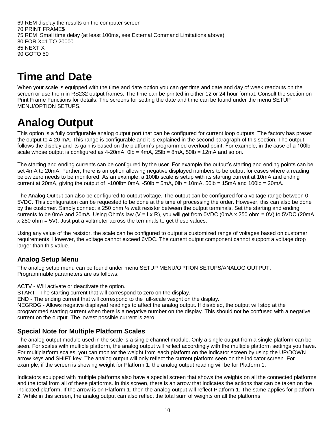69 REM display the results on the computer screen 70 PRINT FRAME\$ 75 REM Small time delay (at least 100ms, see External Command Limitations above) 80 FOR X=1 TO 20000 85 NEXT X 90 GOTO 50

## <span id="page-9-0"></span>**Time and Date**

When your scale is equipped with the time and date option you can get time and date and day of week readouts on the screen or use them in RS232 output frames. The time can be printed in either 12 or 24 hour format. Consult the section on Print Frame Functions for details. The screens for setting the date and time can be found under the menu SETUP MENU/OPTION SETUPS.

# <span id="page-9-1"></span>**Analog Output**

<span id="page-9-2"></span>This option is a fully configurable analog output port that can be configured for current loop outputs. The factory has preset the output to 4-20 mA. This range is configurable and it is explained in the second paragraph of this section. The output follows the display and its gain is based on the platform's programmed overload point. For example, in the case of a 100lb scale whose output is configured as 4-20mA,  $0$ lb =  $4$ mA,  $25$ lb =  $8$ mA,  $50$ lb =  $12$ mA and so on.

The starting and ending currents can be configured by the user. For example the output's starting and ending points can be set 4mA to 20mA. Further, there is an option allowing negative displayed numbers to be output for cases where a reading below zero needs to be monitored. As an example, a 100lb scale is setup with its starting current at 10mA and ending current at 20mA, giving the output of  $-100$ lb= 0mA,  $-50$ lb =  $5$ mA, 0lb =  $10$ mA, 50lb =  $15$ mA and  $100$ lb =  $20$ mA.

The Analog Output can also be configured to output voltage. The output can be configured for a voltage range between 0- 5VDC. This configuration can be requested to be done at the time of processing the order. However, this can also be done by the customer. Simply connect a 250 ohm ¼ watt resistor between the output terminals. Set the starting and ending currents to be 0mA and 20mA. Using Ohm's law (V = 1 x R), you will get from 0VDC (0mA x 250 ohm = 0V) to 5VDC (20mA  $x$  250 ohm = 5V). Just put a voltmeter across the terminals to get these values.

Using any value of the resistor, the scale can be configured to output a customized range of voltages based on customer requirements. However, the voltage cannot exceed 6VDC. The current output component cannot support a voltage drop larger than this value.

#### **Analog Setup Menu**

The analog setup menu can be found under menu SETUP MENU/OPTION SETUPS/ANALOG OUTPUT. Programmable parameters are as follows:

<span id="page-9-3"></span>ACTV - Will activate or deactivate the option.

START - The starting current that will correspond to zero on the display.

END - The ending current that will correspond to the full-scale weight on the display.

NEGRDG - Allows negative displayed readings to affect the analog output. If disabled, the output will stop at the programmed starting current when there is a negative number on the display. This should not be confused with a negative current on the output. The lowest possible current is zero.

#### **Special Note for Multiple Platform Scales**

The analog output module used in the scale is a single channel module. Only a single output from a single platform can be seen. For scales with multiple platform, the analog output will reflect accordingly with the multiple platform settings you have. For multiplatform scales, you can monitor the weight from each platform on the indicator screen by using the UP/DOWN arrow keys and SHIFT key. The analog output will only reflect the current platform seen on the indicator screen. For example, if the screen is showing weight for Platform 1, the analog output reading will be for Platform 1.

Indicators equipped with multiple platforms also have a special screen that shows the weights on all the connected platforms and the total from all of these platforms. In this screen, there is an arrow that indicates the actions that can be taken on the indicated platform. If the arrow is on Platform 1, then the analog output will reflect Platform 1. The same applies for platform 2. While in this screen, the analog output can also reflect the total sum of weights on all the platforms.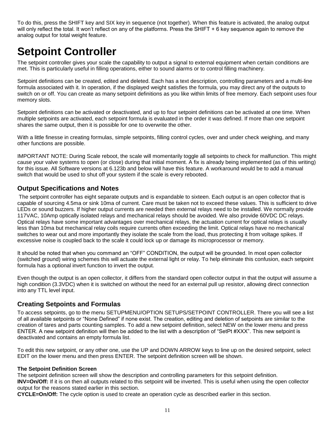To do this, press the SHIFT key and SIX key in sequence (not together). When this feature is activated, the analog output will only reflect the total. It won't reflect on any of the platforms. Press the SHIFT + 6 key sequence again to remove the analog output for total weight feature.

## <span id="page-10-0"></span>**Setpoint Controller**

The setpoint controller gives your scale the capability to output a signal to external equipment when certain conditions are met. This is particularly useful in filling operations, either to sound alarms or to control filling machinery.

Setpoint definitions can be created, edited and deleted. Each has a text description, controlling parameters and a multi-line formula associated with it. In operation, if the displayed weight satisfies the formula, you may direct any of the outputs to switch on or off. You can create as many setpoint definitions as you like within limits of free memory. Each setpoint uses four memory slots.

Setpoint definitions can be activated or deactivated, and up to four setpoint definitions can be activated at one time. When multiple setpoints are activated, each setpoint formula is evaluated in the order it was defined. If more than one setpoint shares the same output, then it is possible for one to overwrite the other.

With a little finesse in creating formulas, simple setpoints, filling control cycles, over and under check weighing, and many other functions are possible.

IMPORTANT NOTE: During Scale reboot, the scale will momentarily toggle all setpoints to check for malfunction. This might cause your valve systems to open (or close) during that initial moment. A fix is already being implemented (as of this writing) for this issue. All Software versions at 6.123b and below will have this feature. A workaround would be to add a manual switch that would be used to shut off your system if the scale is every rebooted.

#### <span id="page-10-1"></span>**Output Specifications and Notes**

The setpoint controller has eight separate outputs and is expandable to sixteen. Each output is an open collector that is capable of sourcing 4.5ma or sink 10ma of current. Care must be taken not to exceed these values. This is sufficient to drive LEDs or sound buzzers. If higher output currents are needed then external relays need to be installed. We normally provide 117VAC, 10Amp optically isolated relays and mechanical relays should be avoided. We also provide 60VDC DC relays. Optical relays have some important advantages over mechanical relays, the actuation current for optical relays is usually less than 10ma but mechanical relay coils require currents often exceeding the limit. Optical relays have no mechanical switches to wear out and more importantly they isolate the scale from the load, thus protecting it from voltage spikes. If excessive noise is coupled back to the scale it could lock up or damage its microprocessor or memory.

It should be noted that when you command an "OFF" CONDITION, the output will be grounded. In most open collector (switched ground) wiring schemes this will actuate the external light or relay. To help eliminate this confusion, each setpoint formula has a optional invert function to invert the output.

Even though the output is an open collector, it differs from the standard open collector output in that the output will assume a high condition (3.3VDC) when it is switched on without the need for an external pull up resistor, allowing direct connection into any TTL level input.

#### <span id="page-10-2"></span>**Creating Setpoints and Formulas**

To access setpoints, go to the menu SETUPMENU/OPTION SETUPS/SETPOINT CONTROLLER. There you will see a list of all available setpoints or "None Defined" if none exist. The creation, editing and deletion of setpoints are similar to the creation of tares and parts counting samples. To add a new setpoint definition, select NEW on the lower menu and press ENTER. A new setpoint definition will then be added to the list with a description of "SetPt #XXX". This new setpoint is deactivated and contains an empty formula list.

To edit this new setpoint, or any other one, use the UP and DOWN ARROW keys to line up on the desired setpoint, select EDIT on the lower menu and then press ENTER. The setpoint definition screen will be shown.

#### **The Setpoint Definition Screen**

The setpoint definition screen will show the description and controlling parameters for this setpoint definition. **INV=On/Off:** If it is on then all outputs related to this setpoint will be inverted. This is useful when using the open collector output for the reasons stated earlier in this section.

**CYCLE=On/Off:** The cycle option is used to create an operation cycle as described earlier in this section.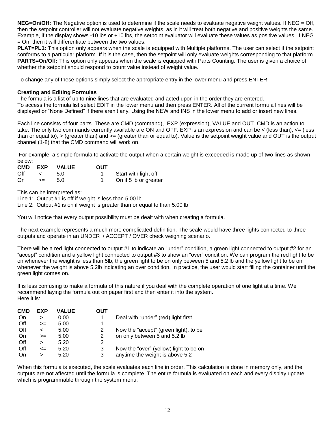**NEG=On/Off:** The Negative option is used to determine if the scale needs to evaluate negative weight values. If NEG = Off, then the setpoint controller will not evaluate negative weights, as in it will treat both negative and positive weights the same. Example, if the display shows -10 lbs or +10 lbs, the setpoint evaluator will evaluate these values as positive values. If NEG = On, then it will differentiate between the two values.

**PLAT=PL1:** This option only appears when the scale is equipped with Multiple platforms. The user can select if the setpoint conforms to a particular platform. If it is the case, then the setpoint will only evaluate weights corresponding to that platform. **PARTS=On/Off:** This option only appears when the scale is equipped with Parts Counting. The user is given a choice of whether the setpoint should respond to count value instead of weight value.

To change any of these options simply select the appropriate entry in the lower menu and press ENTER.

#### **Creating and Editing Formulas**

The formula is a list of up to nine lines that are evaluated and acted upon in the order they are entered. To access the formula list select EDIT in the lower menu and then press ENTER. All of the current formula lines will be displayed or "None Defined" if there aren't any. Using the NEW and INS in the lower menu to add or insert new lines.

Each line consists of four parts. These are CMD (command), EXP (expression), VALUE and OUT. CMD is an action to take. The only two commands currently available are ON and OFF. EXP is an expression and can be < (less than), <= (less than or equal to), > (greater than) and >= (greater than or equal to). Value is the setpoint weight value and OUT is the output channel (1-8) that the CMD command will work on.

For example, a simple formula to activate the output when a certain weight is exceeded is made up of two lines as shown below:

| CMD EXP |      | <b>VALUE</b> | <b>OUT</b> |                       |
|---------|------|--------------|------------|-----------------------|
| Off     |      | 5.0          |            | Start with light off  |
| . On    | $>=$ | 5 O          |            | On if 5 lb or greater |

This can be interpreted as:

Line 1: Output #1 is off if weight is less than 5.00 lb

Line 2: Output #1 is on if weight is greater than or equal to than 5.00 lb

You will notice that every output possibility must be dealt with when creating a formula.

The next example represents a much more complicated definition. The scale would have three lights connected to three outputs and operate in an UNDER / ACCEPT / OVER check weighing scenario.

There will be a red light connected to output #1 to indicate an "under" condition, a green light connected to output #2 for an "accept" condition and a yellow light connected to output #3 to show an "over" condition. We can program the red light to be on whenever the weight is less than 5lb, the green light to be on only between 5 and 5.2 lb and the yellow light to be on whenever the weight is above 5.2lb indicating an over condition. In practice, the user would start filling the container until the green light comes on.

It is less confusing to make a formula of this nature if you deal with the complete operation of one light at a time. We recommend laying the formula out on paper first and then enter it into the system. Here it is:

| <b>CMD</b> | EXP     | <b>VALUE</b> | ΟUΤ |                                        |
|------------|---------|--------------|-----|----------------------------------------|
| On         | ↘       | 0.00         | 1   | Deal with "under" (red) light first    |
| Off        | $>=$    | 5.00         |     |                                        |
| Off        | $\,<\,$ | 5.00         | 2   | Now the "accept" (green light), to be  |
| On         | $>=$    | 5.00         | 2   | on only between 5 and 5.2 lb           |
| Off        | ⋗       | 5.20         | 2   |                                        |
| Off        | $\leq$  | 5.20         | 3   | Now the "over" (yellow) light to be on |
| On         | ⋗       | 5.20         | 3   | anytime the weight is above 5.2        |

When this formula is executed, the scale evaluates each line in order. This calculation is done in memory only, and the outputs are not affected until the formula is complete. The entire formula is evaluated on each and every display update, which is programmable through the system menu.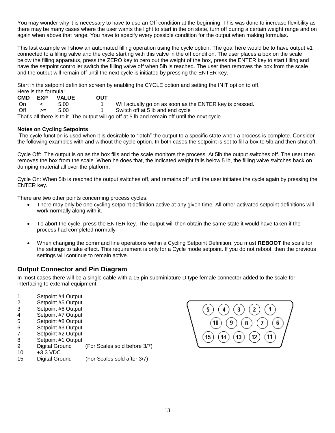You may wonder why it is necessary to have to use an Off condition at the beginning. This was done to increase flexibility as there may be many cases where the user wants the light to start in the on state, turn off during a certain weight range and on again when above that range. You have to specify every possible condition for the output when making formulas.

This last example will show an automated filling operation using the cycle option. The goal here would be to have output #1 connected to a filling valve and the cycle starting with this valve in the off condition. The user places a box on the scale below the filling apparatus, press the ZERO key to zero out the weight of the box, press the ENTER key to start filling and have the setpoint controller switch the filling valve off when 5lb is reached. The user then removes the box from the scale and the output will remain off until the next cycle is initiated by pressing the ENTER key.

Start in the setpoint definition screen by enabling the CYCLE option and setting the INIT option to off. Here is the formula:

|      | CMD EXP    | <b>VALUE</b> | <b>OUT</b> |                                                                                                |
|------|------------|--------------|------------|------------------------------------------------------------------------------------------------|
| . On | $\epsilon$ | 5.00         |            | Will actually go on as soon as the ENTER key is pressed.                                       |
| Off  | $>=$       | 5.00         |            | 1 Switch off at 5 lb and end cycle                                                             |
|      |            |              |            | That's all there is to it. The output will go off at 5 lb and remain off until the next cycle. |

#### **Notes on Cycling Setpoints**

The cycle function is used when it is desirable to "latch" the output to a specific state when a process is complete. Consider the following examples with and without the cycle option. In both cases the setpoint is set to fill a box to 5lb and then shut off.

Cycle Off: The output is on as the box fills and the scale monitors the process. At 5lb the output switches off. The user then removes the box from the scale. When he does that, the indicated weight falls below 5 lb, the filling valve switches back on dumping material all over the platform.

Cycle On: When 5lb is reached the output switches off, and remains off until the user initiates the cycle again by pressing the ENTER key.

There are two other points concerning process cycles:

- There may only be one cycling setpoint definition active at any given time. All other activated setpoint definitions will work normally along with it.
- To abort the cycle, press the ENTER key. The output will then obtain the same state it would have taken if the process had completed normally.
- When changing the command line operations within a Cycling Setpoint Definition, you must **REBOOT** the scale for the settings to take effect. This requirement is only for a Cycle mode setpoint. If you do not reboot, then the previous settings will continue to remain active.

#### <span id="page-12-0"></span>**Output Connector and Pin Diagram**

In most cases there will be a single cable with a 15 pin subminiature D type female connector added to the scale for interfacing to external equipment.

- 1 Setpoint #4 Output
- 2 Setpoint #5 Output
- 3 Setpoint #6 Output
- 4 Setpoint #7 Output
- 5 Setpoint #8 Output
- 6 Setpoint #3 Output
- 7 Setpoint #2 Output 8 Setpoint #1 Output
- 
- 9 Digital Ground (For Scales sold before 3/7) 10 +3.3 VDC
- 15 Digital Ground (For Scales sold after 3/7)

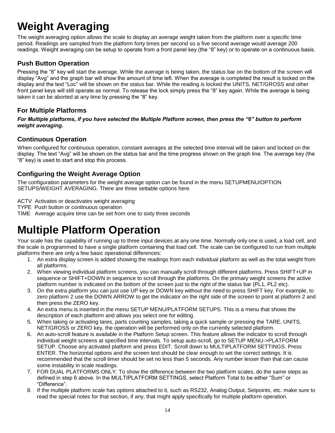# <span id="page-13-0"></span>**Weight Averaging**

The weight averaging option allows the scale to display an average weight taken from the platform over a specific time period. Readings are sampled from the platform forty times per second so a five second average would average 200 readings. Weight averaging can be setup to operate from a front panel key (the "8" key) or to operate on a continuous basis.

#### <span id="page-13-1"></span>**Push Button Operation**

Pressing the "8" key will start the average. While the average is being taken, the status bar on the bottom of the screen will display "Avg" and the graph bar will show the amount of time left. When the average is completed the result is locked on the display and the text "Loc" will be shown on the status bar. While the reading is locked the UNITS, NET/GROSS and other front panel keys will still operate as normal. To release the lock simply press the "8" key again. While the average is being taken it can be aborted at any time by pressing the "8" key.

#### **For Multiple Platforms**

*For Multiple platforms, if you have selected the Multiple Platform screen, then press the "6" button to perform weight averaging.*

#### <span id="page-13-2"></span>**Continuous Operation**

When configured for continuous operation, constant averages at the selected time interval will be taken and locked on the display. The text "Avg" will be shown on the status bar and the time progress shown on the graph line. The average key (the "8" key) is used to start and stop this process.

#### <span id="page-13-3"></span>**Configuring the Weight Average Option**

The configuration parameters for the weight average option can be found in the menu SETUPMENU/OPTION SETUPS/WEIGHT AVERAGING. There are three settable options here.

ACTV Activates or deactivates weight averaging

- TYPE Push button or continuous operation
- <span id="page-13-4"></span>TIME Average acquire time can be set from one to sixty three seconds

## **Multiple Platform Operation**

Your scale has the capability of running up to three input devices at any one time. Normally only one is used, a load cell, and the scale is programmed to have a single platform containing that load cell. The scale can be configured to run from multiple platforms there are only a few basic operational differences:

- 1. An extra display screen is added showing the readings from each individual platform as well as the total weight from all platforms.
- 2. When viewing individual platform screens, you can manually scroll through different platforms. Press SHIFT+UP in sequence or SHIFT+DOWN in sequence to scroll through the platforms. On the primary weight screens the active platform number is indicated on the bottom of the screen just to the right of the status bar (PL1, PL2 etc).
- 3. On the extra platform you can just use UP key or DOWN key without the need to press SHIFT key. For example, to zero platform 2 use the DOWN ARROW to get the indicator on the right side of the screen to point at platform 2 and then press the ZERO key.
- 4. An extra menu is inserted in the menu SETUP MENU/PLATFORM SETUPS. This is a menu that shows the description of each platform and allows you select one for editing.
- 5. When taking or activating tares, parts counting samples, taking a quick sample or pressing the TARE, UNITS, NET/GROSS or ZERO key, the operation will be performed only on the currently selected platform.
- 6. An auto-scroll feature is available in the Platform Setup screen. This feature allows the indicator to scroll through individual weight screens at specified time intervals. To setup auto-scroll, go to SETUP MENU->PLATFORM SETUP. Choose any activated platform and press EDIT. Scroll down to MULTIPLATFORM SETTINGS. Press ENTER. The horizontal options and the screen text should be clear enough to set the correct settings. It is recommended that the scroll timer should be set no less than 5 seconds. Any number lesser than that can cause some instability in scale readings.
- 7. FOR DUAL PLATFORMS ONLY: To show the difference between the two platform scales, do the same steps as defined in step 6 above. In the MULTIPLATFORM SETTINGS, select Platform Total to be either "Sum" or "Difference".
- 8. If the multiple platform scale has options attached to it, such as RS232, Analog Output, Setpoints, etc. make sure to read the special notes for that section, if any, that might apply specifically for multiple platform operation.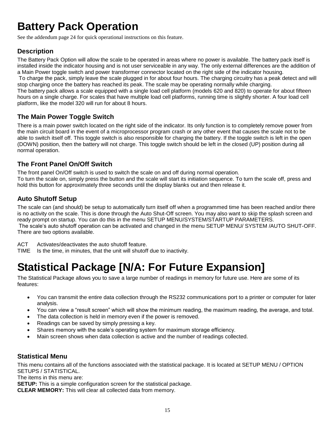# <span id="page-14-0"></span>**Battery Pack Operation**

See the addendum page 24 for quick operational instructions on this feature.

#### <span id="page-14-1"></span>**Description**

The Battery Pack Option will allow the scale to be operated in areas where no power is available. The battery pack itself is installed inside the indicator housing and is not user serviceable in any way. The only external differences are the addition of a Main Power toggle switch and power transformer connector located on the right side of the indicator housing. To charge the pack, simply leave the scale plugged in for about four hours. The charging circuitry has a peak detect and will stop charging once the battery has reached its peak. The scale may be operating normally while charging. The battery pack allows a scale equipped with a single load cell platform (models 620 and 820) to operate for about fifteen hours on a single charge. For scales that have multiple load cell platforms, running time is slightly shorter. A four load cell platform, like the model 320 will run for about 8 hours.

#### <span id="page-14-2"></span>**The Main Power Toggle Switch**

There is a main power switch located on the right side of the indicator. Its only function is to completely remove power from the main circuit board in the event of a microprocessor program crash or any other event that causes the scale not to be able to switch itself off. This toggle switch is also responsible for charging the battery. If the toggle switch is left in the open (DOWN) position, then the battery will not charge. This toggle switch should be left in the closed (UP) position during all normal operation.

#### <span id="page-14-3"></span>**The Front Panel On/Off Switch**

The front panel On/Off switch is used to switch the scale on and off during normal operation. To turn the scale on, simply press the button and the scale will start its initiation sequence. To turn the scale off, press and hold this button for approximately three seconds until the display blanks out and then release it.

#### <span id="page-14-4"></span>**Auto Shutoff Setup**

The scale can (and should) be setup to automatically turn itself off when a programmed time has been reached and/or there is no activity on the scale. This is done through the Auto Shut-Off screen. You may also want to skip the splash screen and ready prompt on startup. You can do this in the menu SETUP MENU/SYSTEM/STARTUP PARAMETERS. The scale's auto shutoff operation can be activated and changed in the menu SETUP MENU/ SYSTEM /AUTO SHUT-OFF. There are two options available.

ACT Activates/deactivates the auto shutoff feature.

<span id="page-14-5"></span>TIME Is the time, in minutes, that the unit will shutoff due to inactivity.

# **Statistical Package [N/A: For Future Expansion]**

The Statistical Package allows you to save a large number of readings in memory for future use. Here are some of its features:

- You can transmit the entire data collection through the RS232 communications port to a printer or computer for later analysis.
- You can view a "result screen" which will show the minimum reading, the maximum reading, the average, and total.
- The data collection is held in memory even if the power is removed.
- Readings can be saved by simply pressing a key.
- Shares memory with the scale's operating system for maximum storage efficiency.
- Main screen shows when data collection is active and the number of readings collected.

#### <span id="page-14-6"></span>**Statistical Menu**

This menu contains all of the functions associated with the statistical package. It is located at SETUP MENU / OPTION SETUPS / STATISTICAL.

The items in this menu are:

**SETUP:** This is a simple configuration screen for the statistical package.

**CLEAR MEMORY:** This will clear all collected data from memory.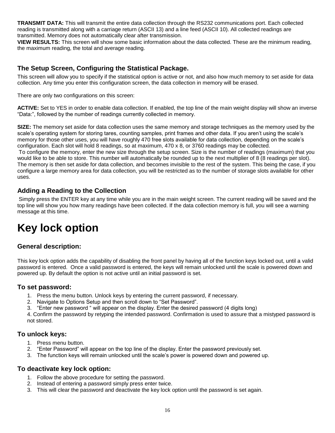**TRANSMIT DATA:** This will transmit the entire data collection through the RS232 communications port. Each collected reading is transmitted along with a carriage return (ASCII 13) and a line feed (ASCII 10). All collected readings are transmitted. Memory does not automatically clear after transmission.

**VIEW RESULTS:** This screen will show some basic information about the data collected. These are the minimum reading, the maximum reading, the total and average reading.

#### <span id="page-15-0"></span>**The Setup Screen, Configuring the Statistical Package.**

This screen will allow you to specify if the statistical option is active or not, and also how much memory to set aside for data collection. Any time you enter this configuration screen, the data collection in memory will be erased.

There are only two configurations on this screen:

**ACTIVE:** Set to YES in order to enable data collection. If enabled, the top line of the main weight display will show an inverse "Data:", followed by the number of readings currently collected in memory.

**SIZE:** The memory set aside for data collection uses the same memory and storage techniques as the memory used by the scale's operating system for storing tares, counting samples, print frames and other data. If you aren't using the scale's memory for those other uses, you will have roughly 470 free slots available for data collection, depending on the scale's configuration. Each slot will hold 8 readings, so at maximum, 470 x 8, or 3760 readings may be collected.

To configure the memory, enter the new size through the setup screen. Size is the number of readings (maximum) that you would like to be able to store. This number will automatically be rounded up to the next multiplier of 8 (8 readings per slot). The memory is then set aside for data collection, and becomes invisible to the rest of the system. This being the case, if you configure a large memory area for data collection, you will be restricted as to the number of storage slots available for other uses.

#### <span id="page-15-1"></span>**Adding a Reading to the Collection**

Simply press the ENTER key at any time while you are in the main weight screen. The current reading will be saved and the top line will show you how many readings have been collected. If the data collection memory is full, you will see a warning message at this time.

## <span id="page-15-2"></span>**Key lock option**

#### <span id="page-15-3"></span>**General description:**

This key lock option adds the capability of disabling the front panel by having all of the function keys locked out, until a valid password is entered. Once a valid password is entered, the keys will remain unlocked until the scale is powered down and powered up. By default the option is not active until an initial password is set.

#### <span id="page-15-4"></span>**To set password:**

- 1. Press the menu button. Unlock keys by entering the current password, if necessary.
- 2. Navigate to Options Setup and then scroll down to "Set Password".
- 3. "Enter new password " will appear on the display. Enter the desired password (4 digits long)

4. Confirm the password by retyping the intended password. Confirmation is used to assure that a mistyped password is not stored.

#### <span id="page-15-5"></span>**To unlock keys:**

- 1. Press menu button.
- 2. "Enter Password" will appear on the top line of the display. Enter the password previously set.
- 3. The function keys will remain unlocked until the scale's power is powered down and powered up.

#### <span id="page-15-6"></span>**To deactivate key lock option:**

- 1. Follow the above procedure for setting the password.
- 2. Instead of entering a password simply press enter twice.
- 3. This will clear the password and deactivate the key lock option until the password is set again.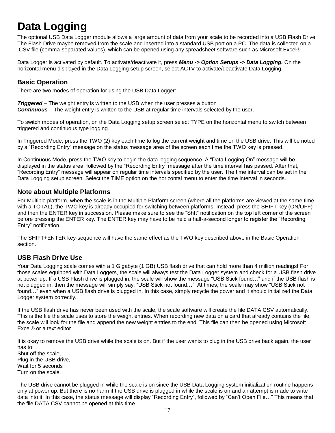# <span id="page-16-0"></span>**Data Logging**

The optional USB Data Logger module allows a large amount of data from your scale to be recorded into a USB Flash Drive. The Flash Drive maybe removed from the scale and inserted into a standard USB port on a PC. The data is collected on a .CSV file (comma-separated values), which can be opened using any spreadsheet software such as Microsoft Excel®.

Data Logger is activated by default. To activate/deactivate it, press *Menu -> Option Setups -> Data Logging.* On the horizontal menu displayed in the Data Logging setup screen, select ACTV to activate/deactivate Data Logging.

#### <span id="page-16-1"></span>**Basic Operation**

There are two modes of operation for using the USB Data Logger:

*Triggered* – The weight entry is written to the USB when the user presses a button *Continuous* – The weight entry is written to the USB at regular time intervals selected by the user.

To switch modes of operation, on the Data Logging setup screen select TYPE on the horizontal menu to switch between triggered and continuous type logging.

In Triggered Mode, press the TWO (2) key each time to log the current weight and time on the USB drive. This will be noted by a "Recording Entry" message on the status message area of the screen each time the TWO key is pressed.

In Continuous Mode, press the TWO key to begin the data logging sequence. A "Data Logging On" message will be displayed in the status area, followed by the "Recording Entry" message after the time interval has passed. After that, "Recording Entry" message will appear on regular time intervals specified by the user. The time interval can be set in the Data Logging setup screen. Select the TIME option on the horizontal menu to enter the time interval in seconds.

#### **Note about Multiple Platforms**

For Multiple platform, when the scale is in the Multiple Platform screen (where all the platforms are viewed at the same time with a TOTAL), the TWO key is already occupied for switching between platforms. Instead, press the SHIFT key (ON/OFF) and then the ENTER key in succession. Please make sure to see the "Shft" notification on the top left corner of the screen before pressing the ENTER key. The ENTER key may have to be held a half-a-second longer to register the "Recording Entry" notification.

The SHIFT+ENTER key-sequence will have the same effect as the TWO key described above in the Basic Operation section.

#### <span id="page-16-2"></span>**USB Flash Drive Use**

Your Data Logging scale comes with a 1 Gigabyte (1 GB) USB flash drive that can hold more than 4 million readings! For those scales equipped with Data Loggers, the scale will always test the Data Logger system and check for a USB flash drive at power up. If a USB Flash drive is plugged in, the scale will show the message "USB Stick found…" and if the USB flash is not plugged in, then the message will simply say, "USB Stick not found…". At times, the scale may show "USB Stick not found…" even when a USB flash drive is plugged in. In this case, simply recycle the power and it should initialized the Data Logger system correctly.

If the USB flash drive has never been used with the scale, the scale software will create the file DATA.CSV automatically. This is the file the scale uses to store the weight entries. When recording new data on a card that already contains the file, the scale will look for the file and append the new weight entries to the end. This file can then be opened using Microsoft Excel® or a text editor.

It is okay to remove the USB drive while the scale is on. But if the user wants to plug in the USB drive back again, the user has to:

Shut off the scale, Plug in the USB drive, Wait for 5 seconds Turn on the scale.

The USB drive cannot be plugged in while the scale is on since the USB Data Logging system initialization routine happens only at power up. But there is no harm if the USB drive is plugged in while the scale is on and an attempt is made to write data into it. In this case, the status message will display "Recording Entry", followed by "Can't Open File…" This means that the file DATA.CSV cannot be opened at this time.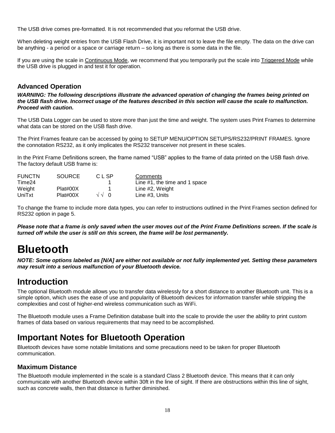The USB drive comes pre-formatted. It is not recommended that you reformat the USB drive.

When deleting weight entries from the USB Flash Drive, it is important not to leave the file empty. The data on the drive can be anything - a period or a space or carriage return – so long as there is some data in the file.

If you are using the scale in Continuous Mode, we recommend that you temporarily put the scale into Triggered Mode while the USB drive is plugged in and test it for operation.

#### <span id="page-17-0"></span>**Advanced Operation**

*WARNING: The following descriptions illustrate the advanced operation of changing the frames being printed on the USB flash drive. Incorrect usage of the features described in this section will cause the scale to malfunction. Proceed with caution.*

The USB Data Logger can be used to store more than just the time and weight. The system uses Print Frames to determine what data can be stored on the USB flash drive.

The Print Frames feature can be accessed by going to SETUP MENU/OPTION SETUPS/RS232/PRINT FRAMES. Ignore the connotation RS232, as it only implicates the RS232 transceiver not present in these scales.

In the Print Frame Definitions screen, the frame named "USB" applies to the frame of data printed on the USB flash drive. The factory default USB frame is:

| <b>FUNCTN</b> | <b>SOURCE</b> | C L SP       | Comments                      |
|---------------|---------------|--------------|-------------------------------|
| Time24        |               |              | Line #1, the time and 1 space |
| Weight        | Plat#00X      |              | Line #2, Weight               |
| UniTxt        | Plat#00X      | $\sqrt{2}$ 0 | Line #3. Units                |

To change the frame to include more data types, you can refer to instructions outlined in the Print Frames section defined for RS232 option in page 5.

*Please note that a frame is only saved when the user moves out of the Print Frame Definitions screen. If the scale is turned off while the user is still on this screen, the frame will be lost permanently.*

## <span id="page-17-1"></span>**Bluetooth**

*NOTE: Some options labeled as [N/A] are either not available or not fully implemented yet. Setting these parameters may result into a serious malfunction of your Bluetooth device.*

## **Introduction**

The optional Bluetooth module allows you to transfer data wirelessly for a short distance to another Bluetooth unit. This is a simple option, which uses the ease of use and popularity of Bluetooth devices for information transfer while stripping the complexities and cost of higher-end wireless communication such as WiFi.

The Bluetooth module uses a Frame Definition database built into the scale to provide the user the ability to print custom frames of data based on various requirements that may need to be accomplished.

## **Important Notes for Bluetooth Operation**

Bluetooth devices have some notable limitations and some precautions need to be taken for proper Bluetooth communication.

#### **Maximum Distance**

The Bluetooth module implemented in the scale is a standard Class 2 Bluetooth device. This means that it can only communicate with another Bluetooth device within 30ft in the line of sight. If there are obstructions within this line of sight, such as concrete walls, then that distance is further diminished.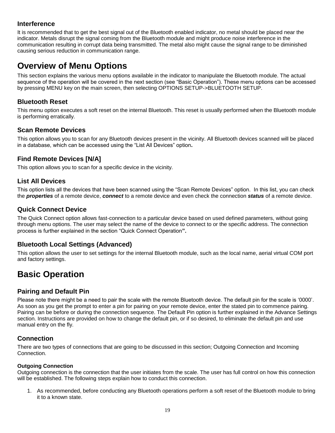#### **Interference**

It is recommended that to get the best signal out of the Bluetooth enabled indicator, no metal should be placed near the indicator. Metals disrupt the signal coming from the Bluetooth module and might produce noise interference in the communication resulting in corrupt data being transmitted. The metal also might cause the signal range to be diminished causing serious reduction in communication range.

### **Overview of Menu Options**

This section explains the various menu options available in the indicator to manipulate the Bluetooth module. The actual sequence of the operation will be covered in the next section (see "Basic Operation"). These menu options can be accessed by pressing MENU key on the main screen, then selecting OPTIONS SETUP->BLUETOOTH SETUP.

#### **Bluetooth Reset**

This menu option executes a soft reset on the internal Bluetooth. This reset is usually performed when the Bluetooth module is performing erratically.

#### **Scan Remote Devices**

This option allows you to scan for any Bluetooth devices present in the vicinity. All Bluetooth devices scanned will be placed in a database, which can be accessed using the "List All Devices" option**.**

#### **Find Remote Devices [N/A]**

This option allows you to scan for a specific device in the vicinity.

#### **List All Devices**

This option lists all the devices that have been scanned using the "Scan Remote Devices" option. In this list, you can check the *properties* of a remote device, *connect* to a remote device and even check the connection *status* of a remote device.

#### **Quick Connect Device**

The Quick Connect option allows fast-connection to a particular device based on used defined parameters, without going through menu options. The user may select the name of the device to connect to or the specific address. The connection process is further explained in the section "Quick Connect Operation**".**

#### **Bluetooth Local Settings (Advanced)**

This option allows the user to set settings for the internal Bluetooth module, such as the local name, aerial virtual COM port and factory settings.

## **Basic Operation**

#### **Pairing and Default Pin**

Please note there might be a need to pair the scale with the remote Bluetooth device. The default pin for the scale is '0000'. As soon as you get the prompt to enter a pin for pairing on your remote device, enter the stated pin to commence pairing. Pairing can be before or during the connection sequence. The Default Pin option is further explained in the Advance Settings section. Instructions are provided on how to change the default pin, or if so desired, to eliminate the default pin and use manual entry on the fly.

#### **Connection**

There are two types of connections that are going to be discussed in this section; Outgoing Connection and Incoming Connection.

#### **Outgoing Connection**

Outgoing connection is the connection that the user initiates from the scale. The user has full control on how this connection will be established. The following steps explain how to conduct this connection.

1. As recommended, before conducting any Bluetooth operations perform a soft reset of the Bluetooth module to bring it to a known state.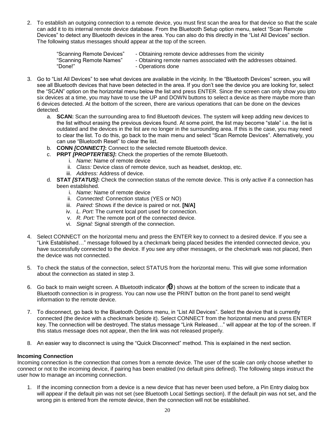2. To establish an outgoing connection to a remote device, you must first scan the area for that device so that the scale can add it to its internal remote device database. From the Bluetooth Setup option menu, select "Scan Remote Devices" to detect any Bluetooth devices in the area. You can also do this directly in the "List All Devices" section. The following status messages should appear at the top of the screen.

| "Scanning Remote Devices" | - Obtaining remote device addresses from the vicinity            |
|---------------------------|------------------------------------------------------------------|
| "Scanning Remote Names"   | - Obtaining remote names associated with the addresses obtained. |
| "Done!"                   | - Operations done                                                |

- 3. Go to "List All Devices" to see what devices are available in the vicinity. In the "Bluetooth Devices" screen, you will see all Bluetooth devices that have been detected in the area. If you don't see the device you are looking for, select the "SCAN" option on the horizontal menu below the list and press ENTER. Since the screen can only show you ipto six devices at a time, you may have to use the UP and DOWN buttons to select a device as there maybe more than 6 devices detected. At the bottom of the screen, there are various operations that can be done on the devices detected.
	- a. **SCAN:** Scan the surrounding area to find Bluetooth devices. The system will keep adding new devices to the list without erasing the previous devices found. At some point, the list may become "stale" i.e. the list is outdated and the devices in the list are no longer in the surrounding area. If this is the case, you may need to clear the list. To do this, go back to the main menu and select "Scan Remote Devices". Alternatively, you can use "Bluetooth Reset" to clear the list.
	- b. **CONN** *[CONNECT]***:** Connect to the selected remote Bluetooth device.
	- c. **PRPT** *[PROPTERTIES]***:** Check the properties of the remote Bluetooth.
		- i. *Name:* Name of remote device
		- ii. *Class:* Device class of remote device, such as headset, desktop, etc.
		- iii. *Address:* Address of device.
	- d. **STAT** *[STATUS]***:** Check the connection status of the remote device. This is only active if a connection has been established.
		- i. *Name:* Name of remote device
		- ii. *Connected:* Connection status (YES or NO)
		- iii. *Paired:* Shows if the device is paired or not. **[N/A]**
		- iv. *L. Port:* The current local port used for connection.
		- v. *R. Port:* The remote port of the connected device.
		- vi. *Signal:* Signal strength of the connection.
- 4. Select CONNECT on the horizontal menu and press the ENTER key to connect to a desired device. If you see a "Link Established…" message followed by a checkmark being placed besides the intended connected device, you have successfully connected to the device. If you see any other messages, or the checkmark was not placed, then the device was not connected.
- 5. To check the status of the connection, select STATUS from the horizontal menu. This will give some information about the connection as stated in step 3.
- 6. Go back to main weight screen. A Bluetooth indicator  $\circled{e}$ ) shows at the bottom of the screen to indicate that a Bluetooth connection is in progress. You can now use the PRINT button on the front panel to send weight information to the remote device.
- 7. To disconnect, go back to the Bluetooth Options menu, in "List All Devices". Select the device that is currently connected (the device with a checkmark beside it). Select CONNECT from the horizontal menu and press ENTER key. The connection will be destroyed. The status message "Link Released…" will appear at the top of the screen. If this status message does not appear, then the link was not released properly.
- 8. An easier way to disconnect is using the "Quick Disconnect" method. This is explained in the next section.

#### **Incoming Connection**

Incoming connection is the connection that comes from a remote device. The user of the scale can only choose whether to connect or not to the incoming device, if pairing has been enabled (no default pins defined). The following steps instruct the user how to manage an incoming connection.

1. If the incoming connection from a device is a new device that has never been used before, a Pin Entry dialog box will appear if the default pin was not set (see Bluetooth Local Settings section). If the default pin was not set, and the wrong pin is entered from the remote device, then the connection will not be established.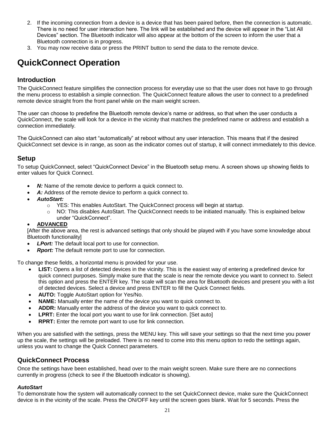- 2. If the incoming connection from a device is a device that has been paired before, then the connection is automatic. There is no need for user interaction here. The link will be established and the device will appear in the "List All Devices" section. The Bluetooth indicator will also appear at the bottom of the screen to inform the user that a Bluetooth connection is in progress.
- 3. You may now receive data or press the PRINT button to send the data to the remote device.

## **QuickConnect Operation**

#### **Introduction**

The QuickConnect feature simplifies the connection process for everyday use so that the user does not have to go through the menu process to establish a simple connection. The QuickConnect feature allows the user to connect to a predefined remote device straight from the front panel while on the main weight screen.

The user can choose to predefine the Bluetooth remote device's name or address, so that when the user conducts a QuickConnect, the scale will look for a device in the vicinity that matches the predefined name or address and establish a connection immediately.

The QuickConnect can also start "automatically" at reboot without any user interaction. This means that if the desired QuickConnect set device is in range, as soon as the indicator comes out of startup, it will connect immediately to this device.

#### **Setup**

To setup QuickConnect, select "QuickConnect Device" in the Bluetooth setup menu. A screen shows up showing fields to enter values for Quick Connect.

- *N:* Name of the remote device to perform a quick connect to.
- *A:* Address of the remote device to perform a quick connect to.
- *AutoStart:*
	- o YES: This enables AutoStart. The QuickConnect process will begin at startup.
	- $\circ$  NO: This disables AutoStart. The QuickConnect needs to be initiated manually. This is explained below under "QuickConnect".

#### **ADVANCED**

[After the above area, the rest is advanced settings that only should be played with if you have some knowledge about Bluetooth functionality]

- *LPort:* The default local port to use for connection.
- *Rport:* The default remote port to use for connection.

To change these fields, a horizontal menu is provided for your use.

- **LIST:** Opens a list of detected devices in the vicinity. This is the easiest way of entering a predefined device for quick connect purposes. Simply make sure that the scale is near the remote device you want to connect to. Select this option and press the ENTER key. The scale will scan the area for Bluetooth devices and present you with a list of detected devices. Select a device and press ENTER to fill the Quick Connect fields.
- **AUTO:** Toggle AutoStart option for Yes/No.
- **NAME:** Manually enter the name of the device you want to quick connect to.
- **ADDR:** Manually enter the address of the device you want to quick connect to.
- **LPRT:** Enter the local port you want to use for link connection. [Set auto]
- **RPRT:** Enter the remote port want to use for link connection.

When you are satisfied with the settings, press the MENU key. This will save your settings so that the next time you power up the scale, the settings will be preloaded. There is no need to come into this menu option to redo the settings again, unless you want to change the Quick Connect parameters.

#### **QuickConnect Process**

Once the settings have been established, head over to the main weight screen. Make sure there are no connections currently in progress (check to see if the Bluetooth indicator is showing).

#### *AutoStart*

To demonstrate how the system will automatically connect to the set QuickConnect device, make sure the QuickConnect device is in the vicinity of the scale. Press the ON/OFF key until the screen goes blank. Wait for 5 seconds. Press the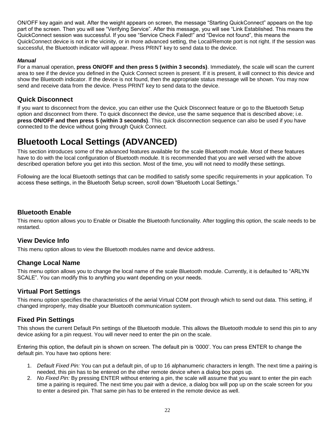ON/OFF key again and wait. After the weight appears on screen, the message "Starting QuickConnect" appears on the top part of the screen. Then you will see "Verifying Service". After this message, you will see "Link Established. This means the QuickConnect session was successful. If you see "Service Check Failed!" and "Device not found", this means the QuickConnect device is not in the vicinity, or in more advanced setting, the Local/Remote port is not right. If the session was successful, the Bluetooth indicator will appear. Press PRINT key to send data to the device.

#### *Manual*

For a manual operation, **press ON/OFF and then press 5 (within 3 seconds)**. Immediately, the scale will scan the current area to see if the device you defined in the Quick Connect screen is present. If it is present, it will connect to this device and show the Bluetooth indicator. If the device is not found, then the appropriate status message will be shown. You may now send and receive data from the device. Press PRINT key to send data to the device.

#### **Quick Disconnect**

If you want to disconnect from the device, you can either use the Quick Disconnect feature or go to the Bluetooth Setup option and disconnect from there. To quick disconnect the device, use the same sequence that is described above; i.e. **press ON/OFF and then press 5 (within 3 seconds)**. This quick disconnection sequence can also be used if you have connected to the device without going through Quick Connect.

## **Bluetooth Local Settings (ADVANCED)**

This section introduces some of the advanced features available for the scale Bluetooth module. Most of these features have to do with the local configuration of Bluetooth module. It is recommended that you are well versed with the above described operation before you get into this section. Most of the time, you will not need to modify these settings.

Following are the local Bluetooth settings that can be modified to satisfy some specific requirements in your application. To access these settings, in the Bluetooth Setup screen, scroll down "Bluetooth Local Settings."

#### **Bluetooth Enable**

This menu option allows you to Enable or Disable the Bluetooth functionality. After toggling this option, the scale needs to be restarted.

#### **View Device Info**

This menu option allows to view the Bluetooth modules name and device address.

#### **Change Local Name**

This menu option allows you to change the local name of the scale Bluetooth module. Currently, it is defaulted to "ARLYN SCALE". You can modify this to anything you want depending on your needs.

#### **Virtual Port Settings**

This menu option specifies the characteristics of the aerial Virtual COM port through which to send out data. This setting, if changed improperly, may disable your Bluetooth communication system.

#### **Fixed Pin Settings**

This shows the current Default Pin settings of the Bluetooth module. This allows the Bluetooth module to send this pin to any device asking for a pin request. You will never need to enter the pin on the scale.

Entering this option, the default pin is shown on screen. The default pin is '0000'. You can press ENTER to change the default pin. You have two options here:

- 1. *Default Fixed Pin:* You can put a default pin, of up to 16 alphanumeric characters in length. The next time a pairing is needed, this pin has to be entered on the other remote device when a dialog box pops up.
- 2. *No Fixed Pin:* By pressing ENTER without entering a pin, the scale will assume that you want to enter the pin each time a pairing is required. The next time you pair with a device, a dialog box will pop up on the scale screen for you to enter a desired pin. That same pin has to be entered in the remote device as well.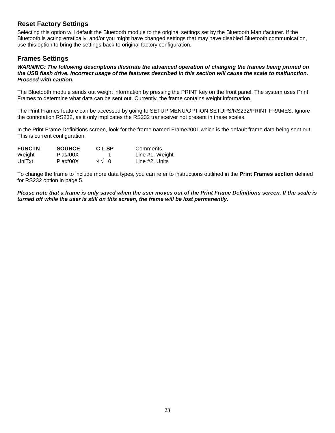#### **Reset Factory Settings**

Selecting this option will default the Bluetooth module to the original settings set by the Bluetooth Manufacturer. If the Bluetooth is acting erratically, and/or you might have changed settings that may have disabled Bluetooth communication, use this option to bring the settings back to original factory configuration.

#### **Frames Settings**

*WARNING: The following descriptions illustrate the advanced operation of changing the frames being printed on the USB flash drive. Incorrect usage of the features described in this section will cause the scale to malfunction. Proceed with caution.*

The Bluetooth module sends out weight information by pressing the PRINT key on the front panel. The system uses Print Frames to determine what data can be sent out. Currently, the frame contains weight information.

The Print Frames feature can be accessed by going to SETUP MENU/OPTION SETUPS/RS232/PRINT FRAMES. Ignore the connotation RS232, as it only implicates the RS232 transceiver not present in these scales.

In the Print Frame Definitions screen, look for the frame named Frame#001 which is the default frame data being sent out. This is current configuration.

| <b>FUNCTN</b> | <b>SOURCE</b> | <b>CLSP</b> | Comments        |
|---------------|---------------|-------------|-----------------|
| Weight        | Plat#00X      |             | Line #1, Weight |
| UniTxt        | Plat#00X      | $\sqrt{10}$ | Line #2. Units  |

To change the frame to include more data types, you can refer to instructions outlined in the **Print Frames section** defined for RS232 option in page 5.

*Please note that a frame is only saved when the user moves out of the Print Frame Definitions screen. If the scale is turned off while the user is still on this screen, the frame will be lost permanently.*